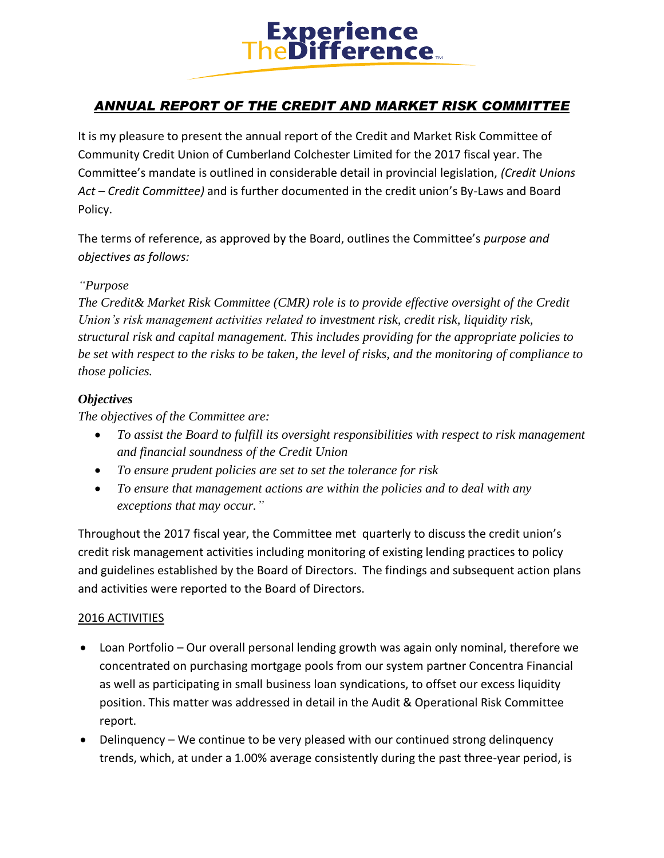

## *ANNUAL REPORT OF THE CREDIT AND MARKET RISK COMMITTEE*

It is my pleasure to present the annual report of the Credit and Market Risk Committee of Community Credit Union of Cumberland Colchester Limited for the 2017 fiscal year. The Committee's mandate is outlined in considerable detail in provincial legislation, *(Credit Unions Act – Credit Committee)* and is further documented in the credit union's By-Laws and Board Policy.

The terms of reference, as approved by the Board, outlines the Committee's *purpose and objectives as follows:*

#### *"Purpose*

*The Credit& Market Risk Committee (CMR) role is to provide effective oversight of the Credit Union's risk management activities related to investment risk, credit risk, liquidity risk, structural risk and capital management. This includes providing for the appropriate policies to be set with respect to the risks to be taken, the level of risks, and the monitoring of compliance to those policies.*

#### *Objectives*

*The objectives of the Committee are:*

- *To assist the Board to fulfill its oversight responsibilities with respect to risk management and financial soundness of the Credit Union*
- *To ensure prudent policies are set to set the tolerance for risk*
- *To ensure that management actions are within the policies and to deal with any exceptions that may occur."*

Throughout the 2017 fiscal year, the Committee met quarterly to discuss the credit union's credit risk management activities including monitoring of existing lending practices to policy and guidelines established by the Board of Directors. The findings and subsequent action plans and activities were reported to the Board of Directors.

#### 2016 ACTIVITIES

- Loan Portfolio Our overall personal lending growth was again only nominal, therefore we concentrated on purchasing mortgage pools from our system partner Concentra Financial as well as participating in small business loan syndications, to offset our excess liquidity position. This matter was addressed in detail in the Audit & Operational Risk Committee report.
- Delinquency We continue to be very pleased with our continued strong delinquency trends, which, at under a 1.00% average consistently during the past three-year period, is